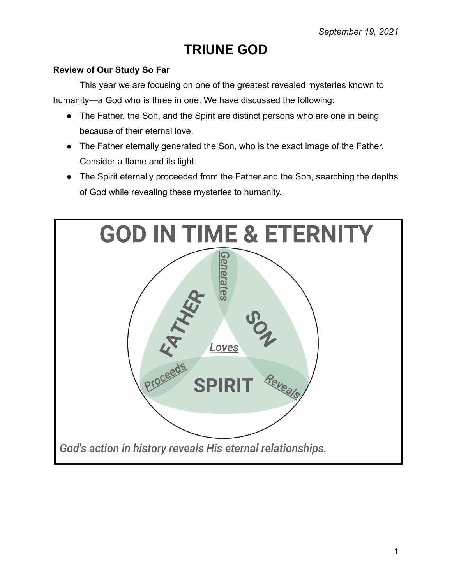## **TRIUNE GOD**

## **Review of Our Study So Far**

This year we are focusing on one of the greatest revealed mysteries known to humanity—a God who is three in one. We have discussed the following:

- The Father, the Son, and the Spirit are distinct persons who are one in being because of their eternal love.
- The Father eternally generated the Son, who is the exact image of the Father. Consider a flame and its light.
- The Spirit eternally proceeded from the Father and the Son, searching the depths of God while revealing these mysteries to humanity.